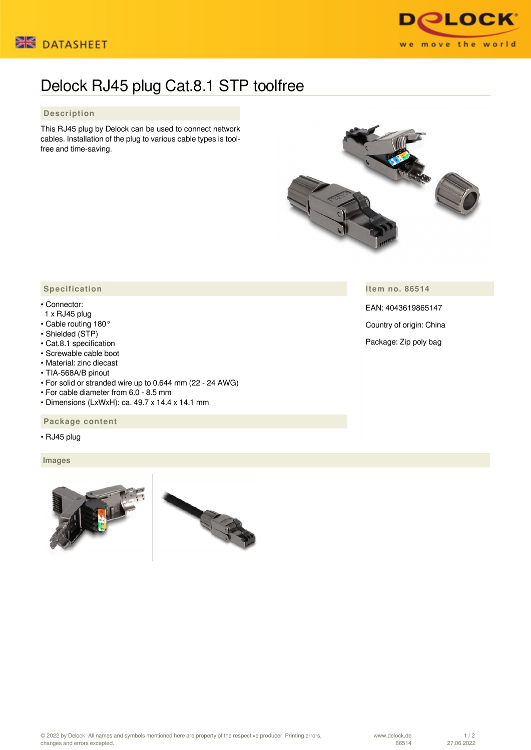



## Delock RJ45 plug Cat.8.1 STP toolfree

## **Description**

This RJ45 plug by Delock can be used to connect network cables. Installation of the plug to various cable types is toolfree and time-saving.



**Item no. 86514**

EAN: 4043619865147

Country of origin: China

Package: Zip poly bag

## **Specification**

## • Connector:

- 1 x RJ45 plug
- Cable routing 180°
- Shielded (STP)
- Cat.8.1 specification
- Screwable cable boot
- Material: zinc diecast
- TIA-568A/B pinout
- For solid or stranded wire up to 0.644 mm (22 24 AWG)
- For cable diameter from 6.0 8.5 mm
- Dimensions (LxWxH): ca. 49.7 x 14.4 x 14.1 mm

 **Package content**

• RJ45 plug

 **Images**